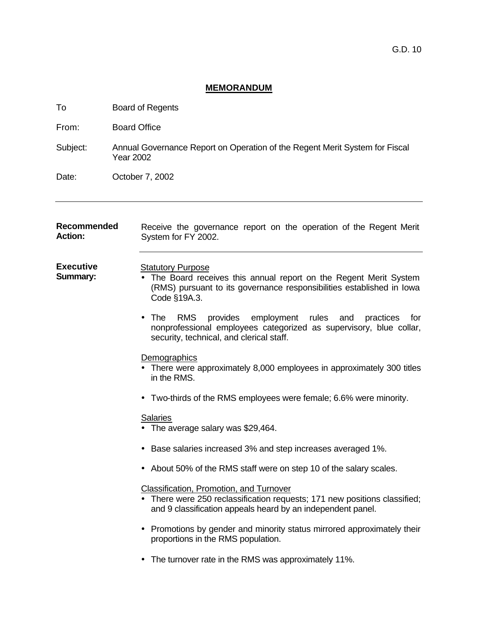# **MEMORANDUM**

| To                                   | <b>Board of Regents</b>                                                                                                                                                                        |  |
|--------------------------------------|------------------------------------------------------------------------------------------------------------------------------------------------------------------------------------------------|--|
| From:                                | <b>Board Office</b>                                                                                                                                                                            |  |
| Subject:                             | Annual Governance Report on Operation of the Regent Merit System for Fiscal<br><b>Year 2002</b>                                                                                                |  |
| Date:                                | October 7, 2002                                                                                                                                                                                |  |
| <b>Recommended</b><br><b>Action:</b> | Receive the governance report on the operation of the Regent Merit<br>System for FY 2002.                                                                                                      |  |
| <b>Executive</b><br>Summary:         | <b>Statutory Purpose</b><br>• The Board receives this annual report on the Regent Merit System<br>(RMS) pursuant to its governance responsibilities established in lowa<br>Code §19A.3.        |  |
|                                      | employment rules<br>The<br><b>RMS</b><br>provides<br>and<br>practices<br>for<br>nonprofessional employees categorized as supervisory, blue collar,<br>security, technical, and clerical staff. |  |
|                                      | <b>Demographics</b><br>There were approximately 8,000 employees in approximately 300 titles<br>in the RMS.                                                                                     |  |
|                                      | • Two-thirds of the RMS employees were female; 6.6% were minority.                                                                                                                             |  |
|                                      | <b>Salaries</b><br>The average salary was \$29,464.                                                                                                                                            |  |
|                                      | Base salaries increased 3% and step increases averaged 1%.                                                                                                                                     |  |
|                                      | About 50% of the RMS staff were on step 10 of the salary scales.                                                                                                                               |  |
|                                      | <b>Classification, Promotion, and Turnover</b><br>There were 250 reclassification requests; 171 new positions classified;<br>and 9 classification appeals heard by an independent panel.       |  |
|                                      | Promotions by gender and minority status mirrored approximately their<br>proportions in the RMS population.                                                                                    |  |
|                                      | The turnover rate in the RMS was approximately 11%.                                                                                                                                            |  |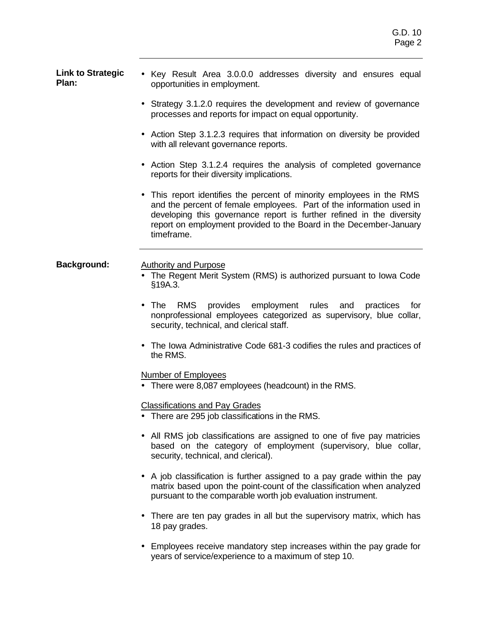| <b>Link to Strategic</b><br>Plan: | • Key Result Area 3.0.0.0 addresses diversity and ensures equal<br>opportunities in employment.                                                                                                                                                                                                            |
|-----------------------------------|------------------------------------------------------------------------------------------------------------------------------------------------------------------------------------------------------------------------------------------------------------------------------------------------------------|
|                                   | • Strategy 3.1.2.0 requires the development and review of governance<br>processes and reports for impact on equal opportunity.                                                                                                                                                                             |
|                                   | • Action Step 3.1.2.3 requires that information on diversity be provided<br>with all relevant governance reports.                                                                                                                                                                                          |
|                                   | Action Step 3.1.2.4 requires the analysis of completed governance<br>reports for their diversity implications.                                                                                                                                                                                             |
|                                   | • This report identifies the percent of minority employees in the RMS<br>and the percent of female employees. Part of the information used in<br>developing this governance report is further refined in the diversity<br>report on employment provided to the Board in the December-January<br>timeframe. |
| <b>Background:</b>                | <b>Authority and Purpose</b><br>• The Regent Merit System (RMS) is authorized pursuant to lowa Code<br>§19A.3.                                                                                                                                                                                             |
|                                   | provides employment rules<br>RMS<br>The<br>and<br>practices<br>for<br>$\bullet$<br>nonprofessional employees categorized as supervisory, blue collar,<br>security, technical, and clerical staff.                                                                                                          |
|                                   | • The Iowa Administrative Code 681-3 codifies the rules and practices of<br>the RMS.                                                                                                                                                                                                                       |
|                                   | Number of Employees<br>• There were 8,087 employees (headcount) in the RMS.                                                                                                                                                                                                                                |
|                                   | <b>Classifications and Pay Grades</b><br>There are 295 job classifications in the RMS.                                                                                                                                                                                                                     |
|                                   | • All RMS job classifications are assigned to one of five pay matricies<br>based on the category of employment (supervisory, blue collar,<br>security, technical, and clerical).                                                                                                                           |
|                                   | A job classification is further assigned to a pay grade within the pay<br>$\bullet$<br>matrix based upon the point-count of the classification when analyzed<br>pursuant to the comparable worth job evaluation instrument.                                                                                |
|                                   | There are ten pay grades in all but the supervisory matrix, which has<br>18 pay grades.                                                                                                                                                                                                                    |

• Employees receive mandatory step increases within the pay grade for years of service/experience to a maximum of step 10.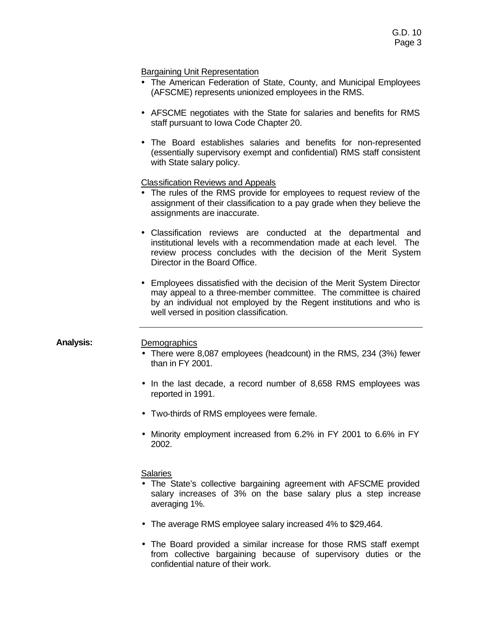# Bargaining Unit Representation

- The American Federation of State, County, and Municipal Employees (AFSCME) represents unionized employees in the RMS.
- AFSCME negotiates with the State for salaries and benefits for RMS staff pursuant to Iowa Code Chapter 20.
- The Board establishes salaries and benefits for non-represented (essentially supervisory exempt and confidential) RMS staff consistent with State salary policy.

# Classification Reviews and Appeals

- The rules of the RMS provide for employees to request review of the assignment of their classification to a pay grade when they believe the assignments are inaccurate.
- Classification reviews are conducted at the departmental and institutional levels with a recommendation made at each level. The review process concludes with the decision of the Merit System Director in the Board Office.
- Employees dissatisfied with the decision of the Merit System Director may appeal to a three-member committee. The committee is chaired by an individual not employed by the Regent institutions and who is well versed in position classification.

# Analysis: Demographics

- There were 8,087 employees (headcount) in the RMS, 234 (3%) fewer than in FY 2001.
- In the last decade, a record number of 8,658 RMS employees was reported in 1991.
- Two-thirds of RMS employees were female.
- Minority employment increased from 6.2% in FY 2001 to 6.6% in FY 2002.

# **Salaries**

- The State's collective bargaining agreement with AFSCME provided salary increases of 3% on the base salary plus a step increase averaging 1%.
- The average RMS employee salary increased 4% to \$29,464.
- The Board provided a similar increase for those RMS staff exempt from collective bargaining because of supervisory duties or the confidential nature of their work.